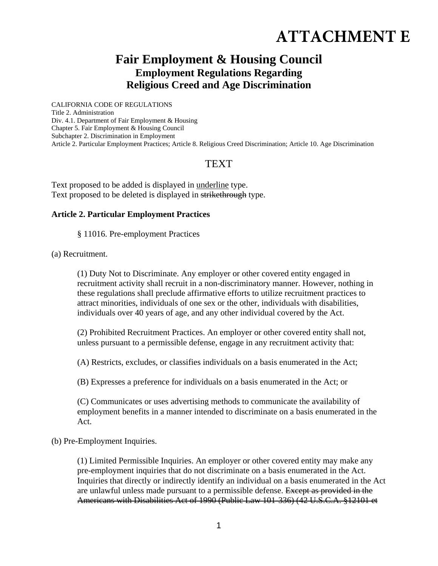# **ATTACHMENT E**

# **Fair Employment & Housing Council Employment Regulations Regarding Religious Creed and Age Discrimination**

CALIFORNIA CODE OF REGULATIONS Title 2. Administration Div. 4.1. Department of Fair Employment & Housing Chapter 5. Fair Employment & Housing Council Subchapter 2. Discrimination in Employment Article 2. Particular Employment Practices; Article 8. Religious Creed Discrimination; Article 10. Age Discrimination

# **TEXT**

Text proposed to be added is displayed in underline type. Text proposed to be deleted is displayed in strikethrough type.

#### **Article 2. Particular Employment Practices**

§ 11016. Pre-employment Practices

(a) Recruitment.

(1) Duty Not to Discriminate. Any employer or other covered entity engaged in recruitment activity shall recruit in a non-discriminatory manner. However, nothing in these regulations shall preclude affirmative efforts to utilize recruitment practices to attract minorities, individuals of one sex or the other, individuals with disabilities, individuals over 40 years of age, and any other individual covered by the Act.

(2) Prohibited Recruitment Practices. An employer or other covered entity shall not, unless pursuant to a permissible defense, engage in any recruitment activity that:

(A) Restricts, excludes, or classifies individuals on a basis enumerated in the Act;

(B) Expresses a preference for individuals on a basis enumerated in the Act; or

(C) Communicates or uses advertising methods to communicate the availability of employment benefits in a manner intended to discriminate on a basis enumerated in the Act.

(b) Pre-Employment Inquiries.

(1) Limited Permissible Inquiries. An employer or other covered entity may make any pre-employment inquiries that do not discriminate on a basis enumerated in the Act. Inquiries that directly or indirectly identify an individual on a basis enumerated in the Act are unlawful unless made pursuant to a permissible defense. Except as provided in the Americans with Disabilities Act of 1990 (Public Law 101-336) (42 U.S.C.A. §12101 et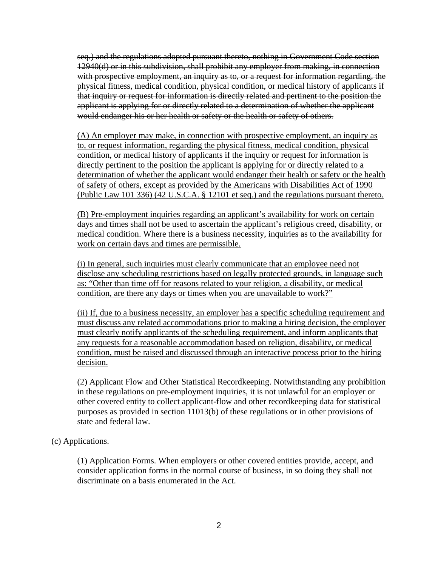seq.) and the regulations adopted pursuant thereto, nothing in Government Code section 12940(d) or in this subdivision, shall prohibit any employer from making, in connection with prospective employment, an inquiry as to, or a request for information regarding, the physical fitness, medical condition, physical condition, or medical history of applicants if that inquiry or request for information is directly related and pertinent to the position the applicant is applying for or directly related to a determination of whether the applicant would endanger his or her health or safety or the health or safety of others.

(A) An employer may make, in connection with prospective employment, an inquiry as to, or request information, regarding the physical fitness, medical condition, physical condition, or medical history of applicants if the inquiry or request for information is directly pertinent to the position the applicant is applying for or directly related to a determination of whether the applicant would endanger their health or safety or the health of safety of others, except as provided by the Americans with Disabilities Act of 1990 (Public Law 101 336) (42 U.S.C.A. § 12101 et seq.) and the regulations pursuant thereto.

(B) Pre-employment inquiries regarding an applicant's availability for work on certain days and times shall not be used to ascertain the applicant's religious creed, disability, or medical condition. Where there is a business necessity, inquiries as to the availability for work on certain days and times are permissible.

(i) In general, such inquiries must clearly communicate that an employee need not disclose any scheduling restrictions based on legally protected grounds, in language such as: "Other than time off for reasons related to your religion, a disability, or medical condition, are there any days or times when you are unavailable to work?"

(ii) If, due to a business necessity, an employer has a specific scheduling requirement and must discuss any related accommodations prior to making a hiring decision, the employer must clearly notify applicants of the scheduling requirement, and inform applicants that any requests for a reasonable accommodation based on religion, disability, or medical condition, must be raised and discussed through an interactive process prior to the hiring decision.

(2) Applicant Flow and Other Statistical Recordkeeping. Notwithstanding any prohibition in these regulations on pre-employment inquiries, it is not unlawful for an employer or other covered entity to collect applicant-flow and other recordkeeping data for statistical purposes as provided in section 11013(b) of these regulations or in other provisions of state and federal law.

(c) Applications.

(1) Application Forms. When employers or other covered entities provide, accept, and consider application forms in the normal course of business, in so doing they shall not discriminate on a basis enumerated in the Act.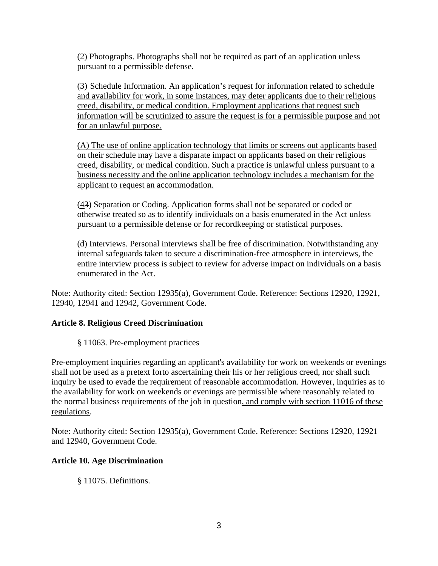(2) Photographs. Photographs shall not be required as part of an application unless pursuant to a permissible defense.

(3) Schedule Information. An application's request for information related to schedule and availability for work, in some instances, may deter applicants due to their religious creed, disability, or medical condition. Employment applications that request such information will be scrutinized to assure the request is for a permissible purpose and not for an unlawful purpose.

(A) The use of online application technology that limits or screens out applicants based on their schedule may have a disparate impact on applicants based on their religious creed, disability, or medical condition. Such a practice is unlawful unless pursuant to a business necessity and the online application technology includes a mechanism for the applicant to request an accommodation.

(43) Separation or Coding. Application forms shall not be separated or coded or otherwise treated so as to identify individuals on a basis enumerated in the Act unless pursuant to a permissible defense or for recordkeeping or statistical purposes.

(d) Interviews. Personal interviews shall be free of discrimination. Notwithstanding any internal safeguards taken to secure a discrimination-free atmosphere in interviews, the entire interview process is subject to review for adverse impact on individuals on a basis enumerated in the Act.

Note: Authority cited: Section 12935(a), Government Code. Reference: Sections 12920, 12921, 12940, 12941 and 12942, Government Code.

## **Article 8. Religious Creed Discrimination**

§ 11063. Pre-employment practices

Pre-employment inquiries regarding an applicant's availability for work on weekends or evenings shall not be used as a pretext forto ascertaining their his or her religious creed, nor shall such inquiry be used to evade the requirement of reasonable accommodation. However, inquiries as to the availability for work on weekends or evenings are permissible where reasonably related to the normal business requirements of the job in question, and comply with section 11016 of these regulations.

Note: Authority cited: Section 12935(a), Government Code. Reference: Sections 12920, 12921 and 12940, Government Code.

## **Article 10. Age Discrimination**

§ 11075. Definitions.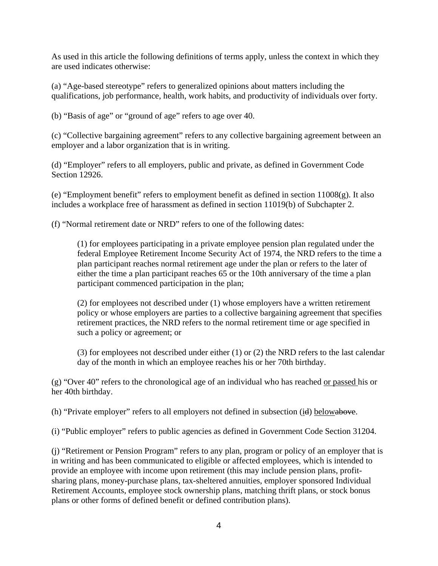As used in this article the following definitions of terms apply, unless the context in which they are used indicates otherwise:

(a) "Age-based stereotype" refers to generalized opinions about matters including the qualifications, job performance, health, work habits, and productivity of individuals over forty.

(b) "Basis of age" or "ground of age" refers to age over 40.

(c) "Collective bargaining agreement" refers to any collective bargaining agreement between an employer and a labor organization that is in writing.

(d) "Employer" refers to all employers, public and private, as defined in Government Code Section 12926.

(e) "Employment benefit" refers to employment benefit as defined in section  $11008(g)$ . It also includes a workplace free of harassment as defined in section 11019(b) of Subchapter 2.

(f) "Normal retirement date or NRD" refers to one of the following dates:

(1) for employees participating in a private employee pension plan regulated under the federal Employee Retirement Income Security Act of 1974, the NRD refers to the time a plan participant reaches normal retirement age under the plan or refers to the later of either the time a plan participant reaches 65 or the 10th anniversary of the time a plan participant commenced participation in the plan;

(2) for employees not described under (1) whose employers have a written retirement policy or whose employers are parties to a collective bargaining agreement that specifies retirement practices, the NRD refers to the normal retirement time or age specified in such a policy or agreement; or

(3) for employees not described under either (1) or (2) the NRD refers to the last calendar day of the month in which an employee reaches his or her 70th birthday.

(g) "Over 40" refers to the chronological age of an individual who has reached or passed his or her 40th birthday.

(h) "Private employer" refers to all employers not defined in subsection (id) belowabove.

(i) "Public employer" refers to public agencies as defined in Government Code Section 31204.

(j) "Retirement or Pension Program" refers to any plan, program or policy of an employer that is in writing and has been communicated to eligible or affected employees, which is intended to provide an employee with income upon retirement (this may include pension plans, profitsharing plans, money-purchase plans, tax-sheltered annuities, employer sponsored Individual Retirement Accounts, employee stock ownership plans, matching thrift plans, or stock bonus plans or other forms of defined benefit or defined contribution plans).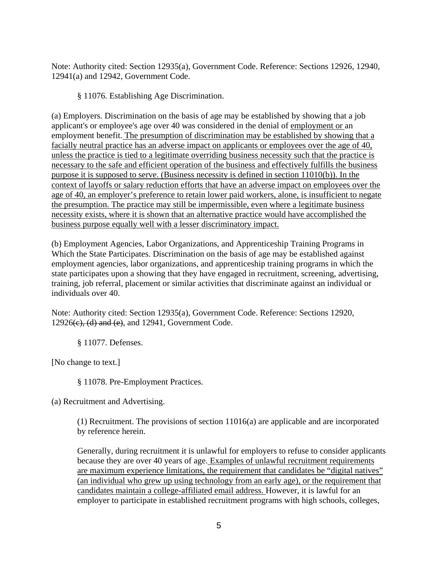Note: Authority cited: Section 12935(a), Government Code. Reference: Sections 12926, 12940, 12941(a) and 12942, Government Code.

§ 11076. Establishing Age Discrimination.

(a) Employers. Discrimination on the basis of age may be established by showing that a job applicant's or employee's age over 40 was considered in the denial of employment or an employment benefit. The presumption of discrimination may be established by showing that a facially neutral practice has an adverse impact on applicants or employees over the age of 40, unless the practice is tied to a legitimate overriding business necessity such that the practice is necessary to the safe and efficient operation of the business and effectively fulfills the business purpose it is supposed to serve. (Business necessity is defined in section 11010(b)). In the context of layoffs or salary reduction efforts that have an adverse impact on employees over the age of 40, an employer's preference to retain lower paid workers, alone, is insufficient to negate the presumption. The practice may still be impermissible, even where a legitimate business necessity exists, where it is shown that an alternative practice would have accomplished the business purpose equally well with a lesser discriminatory impact.

(b) Employment Agencies, Labor Organizations, and Apprenticeship Training Programs in Which the State Participates. Discrimination on the basis of age may be established against employment agencies, labor organizations, and apprenticeship training programs in which the state participates upon a showing that they have engaged in recruitment, screening, advertising, training, job referral, placement or similar activities that discriminate against an individual or individuals over 40.

Note: Authority cited: Section 12935(a), Government Code. Reference: Sections 12920,  $12926(e)$ , (d) and (e), and  $12941$ , Government Code.

§ 11077. Defenses.

[No change to text.]

§ 11078. Pre-Employment Practices.

(a) Recruitment and Advertising.

(1) Recruitment. The provisions of section 11016(a) are applicable and are incorporated by reference herein.

Generally, during recruitment it is unlawful for employers to refuse to consider applicants because they are over 40 years of age. Examples of unlawful recruitment requirements are maximum experience limitations, the requirement that candidates be "digital natives" (an individual who grew up using technology from an early age), or the requirement that candidates maintain a college-affiliated email address. However, it is lawful for an employer to participate in established recruitment programs with high schools, colleges,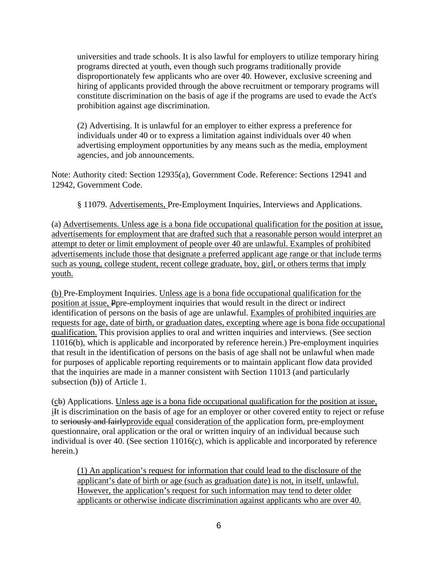universities and trade schools. It is also lawful for employers to utilize temporary hiring programs directed at youth, even though such programs traditionally provide disproportionately few applicants who are over 40. However, exclusive screening and hiring of applicants provided through the above recruitment or temporary programs will constitute discrimination on the basis of age if the programs are used to evade the Act's prohibition against age discrimination.

(2) Advertising. It is unlawful for an employer to either express a preference for individuals under 40 or to express a limitation against individuals over 40 when advertising employment opportunities by any means such as the media, employment agencies, and job announcements.

Note: Authority cited: Section 12935(a), Government Code. Reference: Sections 12941 and 12942, Government Code.

§ 11079. Advertisements, Pre-Employment Inquiries, Interviews and Applications.

(a) Advertisements. Unless age is a bona fide occupational qualification for the position at issue, advertisements for employment that are drafted such that a reasonable person would interpret an attempt to deter or limit employment of people over 40 are unlawful. Examples of prohibited advertisements include those that designate a preferred applicant age range or that include terms such as young, college student, recent college graduate, boy, girl, or others terms that imply youth.

(b) Pre-Employment Inquiries. Unless age is a bona fide occupational qualification for the position at issue, Ppre-employment inquiries that would result in the direct or indirect identification of persons on the basis of age are unlawful. Examples of prohibited inquiries are requests for age, date of birth, or graduation dates, excepting where age is bona fide occupational qualification. This provision applies to oral and written inquiries and interviews. (See section 11016(b), which is applicable and incorporated by reference herein.) Pre-employment inquiries that result in the identification of persons on the basis of age shall not be unlawful when made for purposes of applicable reporting requirements or to maintain applicant flow data provided that the inquiries are made in a manner consistent with Section 11013 (and particularly subsection (b)) of Article 1.

(cb) Applications. Unless age is a bona fide occupational qualification for the position at issue, il is discrimination on the basis of age for an employer or other covered entity to reject or refuse to seriously and fairlyprovide equal consideration of the application form, pre-employment questionnaire, oral application or the oral or written inquiry of an individual because such individual is over 40. (See section 11016(c), which is applicable and incorporated by reference herein.)

(1) An application's request for information that could lead to the disclosure of the applicant's date of birth or age (such as graduation date) is not, in itself, unlawful. However, the application's request for such information may tend to deter older applicants or otherwise indicate discrimination against applicants who are over 40.